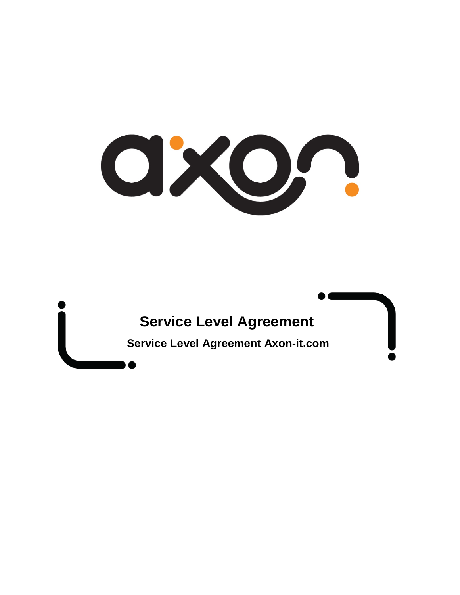OXO,

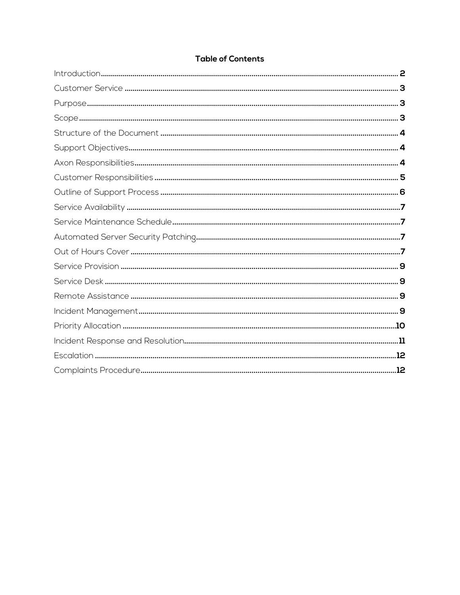#### **Table of Contents**

<span id="page-1-0"></span>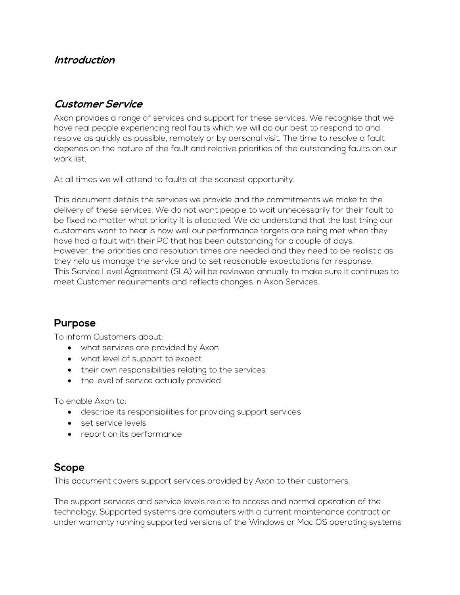### **Introduction**

### <span id="page-2-0"></span>**Customer Service**

Axon provides a range of services and support for these services. We recognise that we have real people experiencing real faults which we will do our best to respond to and resolve as quickly as possible, remotely or by personal visit. The time to resolve a fault depends on the nature of the fault and relative priorities of the outstanding faults on our work list.

At all times we will attend to faults at the soonest opportunity.

This document details the services we provide and the commitments we make to the delivery of these services. We do not want people to wait unnecessarily for their fault to be fixed no matter what priority it is allocated. We do understand that the last thing our customers want to hear is how well our performance targets are being met when they have had a fault with their PC that has been outstanding for a couple of days. However, the priorities and resolution times are needed and they need to be realistic as they help us manage the service and to set reasonable expectations for response. This Service Level Agreement (SLA) will be reviewed annually to make sure it continues to meet Customer requirements and reflects changes in Axon Services.

### <span id="page-2-1"></span>**Purpose**

To inform Customers about:

- what services are provided by Axon
- what level of support to expect
- their own responsibilities relating to the services
- the level of service actually provided

To enable Axon to:

- describe its responsibilities for providing support services
- set service levels
- report on its performance

## <span id="page-2-2"></span>**Scope**

This document covers support services provided by Axon to their customers.

The support services and service levels relate to access and normal operation of the technology. Supported systems are computers with a current maintenance contract or under warranty running supported versions of the Windows or Mac OS operating systems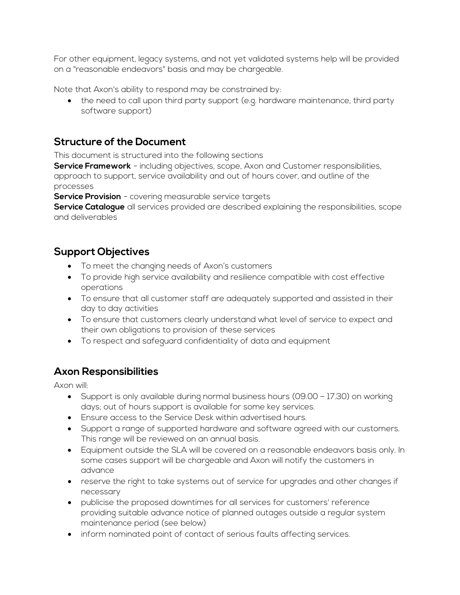For other equipment, legacy systems, and not yet validated systems help will be provided on a "reasonable endeavors" basis and may be chargeable.

Note that Axon's ability to respond may be constrained by:

• the need to call upon third party support (e.g. hardware maintenance, third party software support)

# <span id="page-3-0"></span>**Structure of the Document**

This document is structured into the following sections

**Service Framework** - including objectives, scope, Axon and Customer responsibilities, approach to support, service availability and out of hours cover, and outline of the processes

**Service Provision** - covering measurable service targets

**Service Catalogue** all services provided are described explaining the responsibilities, scope and deliverables

# <span id="page-3-1"></span>**Support Objectives**

- To meet the changing needs of Axon's customers
- To provide high service availability and resilience compatible with cost effective operations
- To ensure that all customer staff are adequately supported and assisted in their day to day activities
- To ensure that customers clearly understand what level of service to expect and their own obligations to provision of these services
- To respect and safeguard confidentiality of data and equipment

## <span id="page-3-2"></span>**Axon Responsibilities**

Axon will:

- Support is only available during normal business hours (09.00 17.30) on working days; out of hours support is available for some key services.
- Ensure access to the Service Desk within advertised hours.
- Support a range of supported hardware and software agreed with our customers. This range will be reviewed on an annual basis.
- Equipment outside the SLA will be covered on a reasonable endeavors basis only. In some cases support will be chargeable and Axon will notify the customers in advance
- reserve the right to take systems out of service for upgrades and other changes if necessary
- publicise the proposed downtimes for all services for customers' reference providing suitable advance notice of planned outages outside a regular system maintenance period (see below)
- inform nominated point of contact of serious faults affecting services.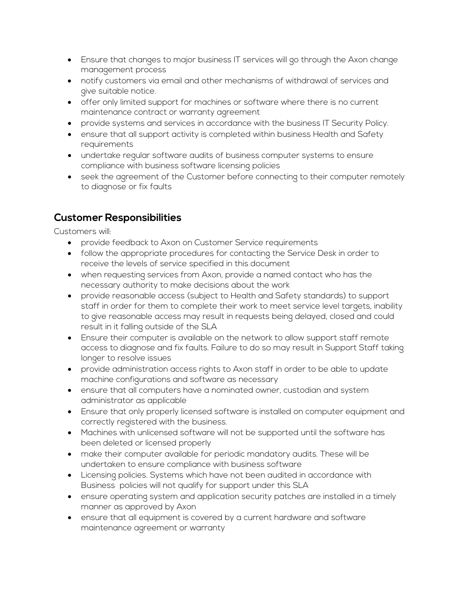- Ensure that changes to major business IT services will go through the Axon change management process
- notify customers via email and other mechanisms of withdrawal of services and give suitable notice.
- offer only limited support for machines or software where there is no current maintenance contract or warranty agreement
- provide systems and services in accordance with the business IT Security Policy.
- ensure that all support activity is completed within business Health and Safety requirements
- undertake regular software audits of business computer systems to ensure compliance with business software licensing policies
- seek the agreement of the Customer before connecting to their computer remotely to diagnose or fix faults

# <span id="page-4-0"></span>**Customer Responsibilities**

Customers will:

- provide feedback to Axon on Customer Service requirements
- follow the appropriate procedures for contacting the Service Desk in order to receive the levels of service specified in this document
- when requesting services from Axon, provide a named contact who has the necessary authority to make decisions about the work
- provide reasonable access (subject to Health and Safety standards) to support staff in order for them to complete their work to meet service level targets, inability to give reasonable access may result in requests being delayed, closed and could result in it falling outside of the SLA
- Ensure their computer is available on the network to allow support staff remote access to diagnose and fix faults. Failure to do so may result in Support Staff taking longer to resolve issues
- provide administration access rights to Axon staff in order to be able to update machine configurations and software as necessary
- ensure that all computers have a nominated owner, custodian and system administrator as applicable
- Ensure that only properly licensed software is installed on computer equipment and correctly registered with the business.
- Machines with unlicensed software will not be supported until the software has been deleted or licensed properly
- make their computer available for periodic mandatory audits. These will be undertaken to ensure compliance with business software
- Licensing policies. Systems which have not been audited in accordance with Business policies will not qualify for support under this SLA
- ensure operating system and application security patches are installed in a timely manner as approved by Axon
- ensure that all equipment is covered by a current hardware and software maintenance agreement or warranty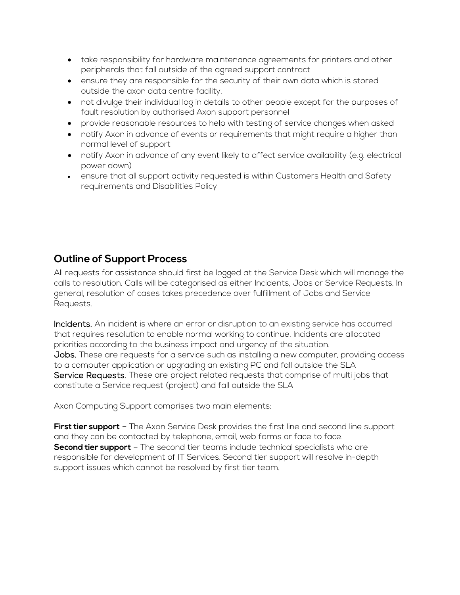- take responsibility for hardware maintenance agreements for printers and other peripherals that fall outside of the agreed support contract
- ensure they are responsible for the security of their own data which is stored outside the axon data centre facility.
- not divulge their individual log in details to other people except for the purposes of fault resolution by authorised Axon support personnel
- provide reasonable resources to help with testing of service changes when asked
- notify Axon in advance of events or requirements that might require a higher than normal level of support
- notify Axon in advance of any event likely to affect service availability (e.g. electrical power down)
- ensure that all support activity requested is within Customers Health and Safety requirements and Disabilities Policy

## <span id="page-5-0"></span>**Outline of Support Process**

All requests for assistance should first be logged at the Service Desk which will manage the calls to resolution. Calls will be categorised as either Incidents, Jobs or Service Requests. In general, resolution of cases takes precedence over fulfillment of Jobs and Service Requests.

Incidents. An incident is where an error or disruption to an existing service has occurred that requires resolution to enable normal working to continue. Incidents are allocated priorities according to the business impact and urgency of the situation. Jobs. These are requests for a service such as installing a new computer, providing access to a computer application or upgrading an existing PC and fall outside the SLA Service Requests. These are project related requests that comprise of multi jobs that constitute a Service request (project) and fall outside the SLA

Axon Computing Support comprises two main elements:

**First tier support** – The Axon Service Desk provides the first line and second line support and they can be contacted by telephone, email, web forms or face to face. **Second tier support** – The second tier teams include technical specialists who are responsible for development of IT Services. Second tier support will resolve in-depth support issues which cannot be resolved by first tier team.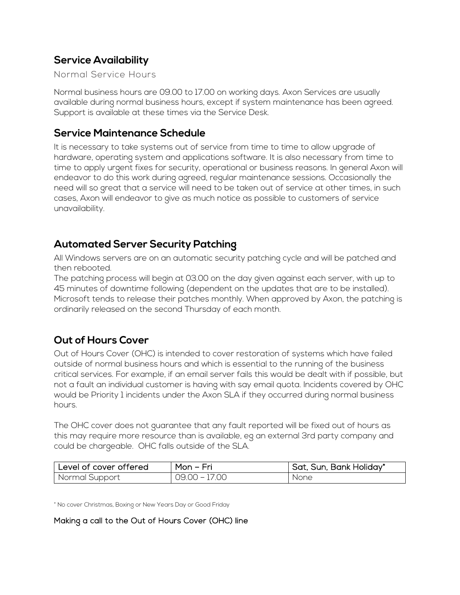## <span id="page-6-0"></span>**Service Availability**

#### Normal Service Hours

Normal business hours are 09.00 to 17.00 on working days. Axon Services are usually available during normal business hours, except if system maintenance has been agreed. Support is available at these times via the Service Desk.

### <span id="page-6-1"></span>**Service Maintenance Schedule**

It is necessary to take systems out of service from time to time to allow upgrade of hardware, operating system and applications software. It is also necessary from time to time to apply urgent fixes for security, operational or business reasons. In general Axon will endeavor to do this work during agreed, regular maintenance sessions. Occasionally the need will so great that a service will need to be taken out of service at other times, in such cases, Axon will endeavor to give as much notice as possible to customers of service unavailability.

### <span id="page-6-2"></span>**Automated Server Security Patching**

All Windows servers are on an automatic security patching cycle and will be patched and then rebooted.

The patching process will begin at 03.00 on the day given against each server, with up to 45 minutes of downtime following (dependent on the updates that are to be installed). Microsoft tends to release their patches monthly. When approved by Axon, the patching is ordinarily released on the second Thursday of each month.

## <span id="page-6-3"></span>**Out of Hours Cover**

Out of Hours Cover (OHC) is intended to cover restoration of systems which have failed outside of normal business hours and which is essential to the running of the business critical services. For example, if an email server fails this would be dealt with if possible, but not a fault an individual customer is having with say email quota. Incidents covered by OHC would be Priority 1 incidents under the Axon SLA if they occurred during normal business hours.

The OHC cover does not guarantee that any fault reported will be fixed out of hours as this may require more resource than is available, eg an external 3rd party company and could be chargeable. OHC falls outside of the SLA.

| Level of cover offered | Mon - Fri     | Sat, Sun, Bank Holiday* |
|------------------------|---------------|-------------------------|
| Normal Support         | 09.00 – 17.00 | None                    |

\* No cover Christmas, Boxing or New Years Day or Good Friday

#### Making a call to the Out of Hours Cover (OHC) line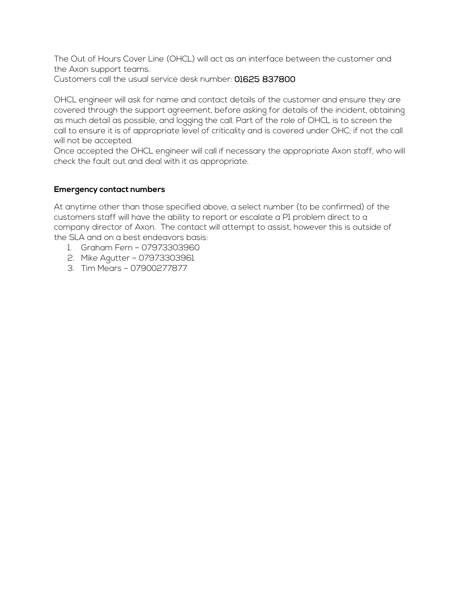The Out of Hours Cover Line (OHCL) will act as an interface between the customer and the Axon support teams.

Customers call the usual service desk number: 01625 837800

OHCL engineer will ask for name and contact details of the customer and ensure they are covered through the support agreement, before asking for details of the incident, obtaining as much detail as possible, and logging the call. Part of the role of OHCL is to screen the call to ensure it is of appropriate level of criticality and is covered under OHC; if not the call will not be accepted.

Once accepted the OHCL engineer will call if necessary the appropriate Axon staff, who will check the fault out and deal with it as appropriate.

#### **Emergency contact numbers**

At anytime other than those specified above, a select number (to be confirmed) of the customers staff will have the ability to report or escalate a P1 problem direct to a company director of Axon. The contact will attempt to assist, however this is outside of the SLA and on a best endeavors basis:

- 1. Graham Fern 07973303960
- 2. Mike Agutter 07973303961
- 3. Tim Mears 07900277877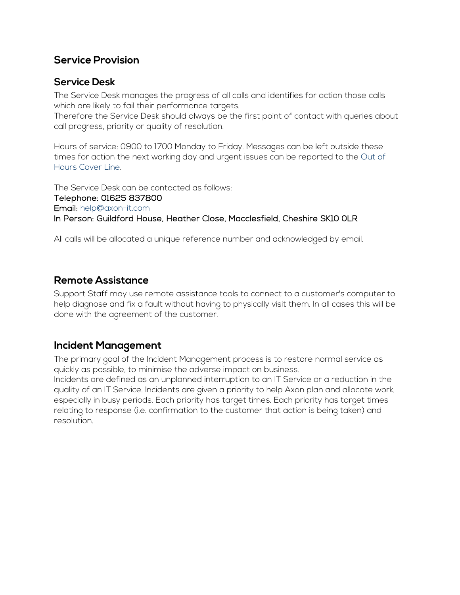### <span id="page-8-0"></span>**Service Provision**

### <span id="page-8-1"></span>**Service Desk**

The Service Desk manages the progress of all calls and identifies for action those calls which are likely to fail their performance targets.

Therefore the Service Desk should always be the first point of contact with queries about call progress, priority or quality of resolution.

Hours of service: 0900 to 1700 Monday to Friday. Messages can be left outside these times for action the next working day and urgent issues can be reported to the Out of Hours Cover Line.

The Service Desk can be contacted as follows: Telephone: 01625 837800 Email: help@axon-it.com In Person: Guildford House, Heather Close, Macclesfield, Cheshire SK10 0LR

All calls will be allocated a unique reference number and acknowledged by email.

### <span id="page-8-2"></span>**Remote Assistance**

Support Staff may use remote assistance tools to connect to a customer's computer to help diagnose and fix a fault without having to physically visit them. In all cases this will be done with the agreement of the customer.

## <span id="page-8-3"></span>**Incident Management**

The primary goal of the Incident Management process is to restore normal service as quickly as possible, to minimise the adverse impact on business. Incidents are defined as an unplanned interruption to an IT Service or a reduction in the quality of an IT Service. Incidents are given a priority to help Axon plan and allocate work, especially in busy periods. Each priority has target times. Each priority has target times relating to response (i.e. confirmation to the customer that action is being taken) and resolution.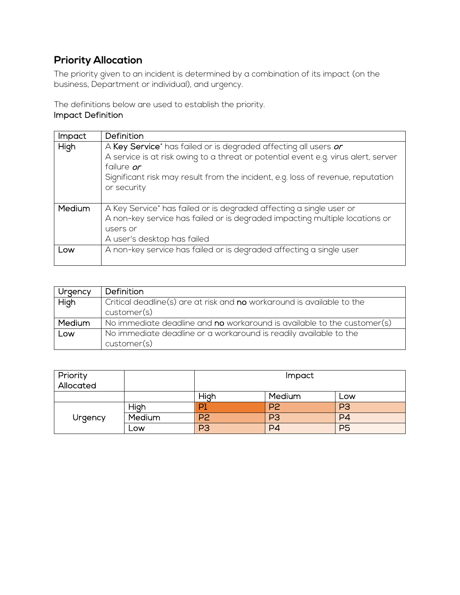# <span id="page-9-0"></span>**Priority Allocation**

The priority given to an incident is determined by a combination of its impact (on the business, Department or individual), and urgency.

The definitions below are used to establish the priority. Impact Definition

| <b>Impact</b> | Definition                                                                         |
|---------------|------------------------------------------------------------------------------------|
| High          | A Key Service* has failed or is degraded affecting all users or                    |
|               | A service is at risk owing to a threat or potential event e.g. virus alert, server |
|               | failure or                                                                         |
|               | Significant risk may result from the incident, e.g. loss of revenue, reputation    |
|               | or security                                                                        |
|               |                                                                                    |
| Medium        | A Key Service* has failed or is degraded affecting a single user or                |
|               | A non-key service has failed or is degraded impacting multiple locations or        |
|               | users or                                                                           |
|               | A user's desktop has failed                                                        |
| Low           | A non-key service has failed or is degraded affecting a single user                |
|               |                                                                                    |

| Urgency       | Definition                                                              |
|---------------|-------------------------------------------------------------------------|
| High          | Critical deadline(s) are at risk and no workaround is available to the  |
|               | customer(s)                                                             |
| <b>Medium</b> | No immediate deadline and no workaround is available to the customer(s) |
| Low           | No immediate deadline or a workaround is readily available to the       |
|               | customer(s)                                                             |

| Priority<br>Allocated |        | <i>Impact</i>  |                |                |
|-----------------------|--------|----------------|----------------|----------------|
|                       |        | High           | Medium         | Low            |
| Urgency               | High   |                | P <sub>2</sub> | P <sub>3</sub> |
|                       | Medium | P <sub>2</sub> | P <sub>3</sub> | P <sub>4</sub> |
|                       | Low    | P <sub>3</sub> | P4             | P <sub>5</sub> |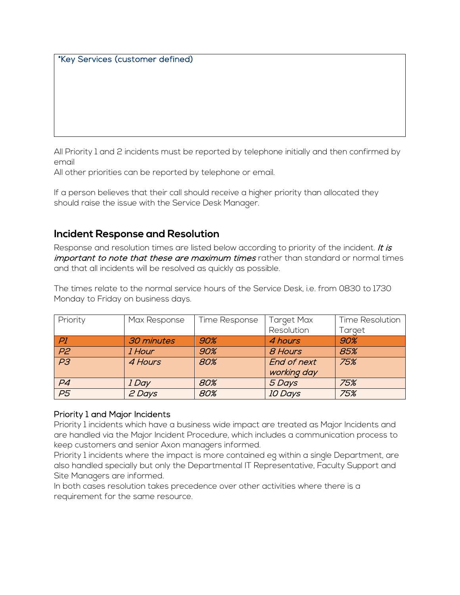\*Key Services (customer defined)

All Priority 1 and 2 incidents must be reported by telephone initially and then confirmed by email

All other priorities can be reported by telephone or email.

If a person believes that their call should receive a higher priority than allocated they should raise the issue with the Service Desk Manager.

### <span id="page-10-0"></span>**Incident Response and Resolution**

Response and resolution times are listed below according to priority of the incident. It is important to note that these are maximum times rather than standard or normal times and that all incidents will be resolved as quickly as possible.

The times relate to the normal service hours of the Service Desk, i.e. from 0830 to 1730 Monday to Friday on business days.

| Priority        | Max Response | Time Response | Target Max     | <b>Time Resolution</b> |
|-----------------|--------------|---------------|----------------|------------------------|
|                 |              |               | Resolution     | Target                 |
| PI              | 30 minutes   | 90%           | 4 hours        | 90%                    |
| P2              | 1 Hour       | 90%           | 8 Hours        | 85%                    |
| $\overline{P3}$ | 4 Hours      | 80%           | End of next    | 75%                    |
|                 |              |               | working day    |                        |
| P <sub>4</sub>  | 1 Day        | 80%           | 5 Days         | 75%                    |
| P5              | 2 Days       | 80%           | <b>10 Days</b> | 75%                    |

#### Priority 1 and Major Incidents

Priority 1 incidents which have a business wide impact are treated as Major Incidents and are handled via the Major Incident Procedure, which includes a communication process to keep customers and senior Axon managers informed.

Priority 1 incidents where the impact is more contained eg within a single Department, are also handled specially but only the Departmental IT Representative, Faculty Support and Site Managers are informed.

In both cases resolution takes precedence over other activities where there is a requirement for the same resource.